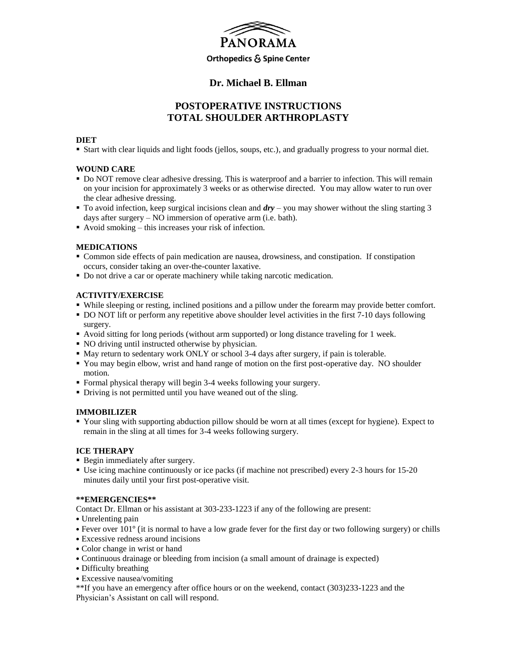

# **Dr. Michael B. Ellman**

# **POSTOPERATIVE INSTRUCTIONS TOTAL SHOULDER ARTHROPLASTY**

# **DIET**

Start with clear liquids and light foods (jellos, soups, etc.), and gradually progress to your normal diet.

# **WOUND CARE**

- Do NOT remove clear adhesive dressing. This is waterproof and a barrier to infection. This will remain on your incision for approximately 3 weeks or as otherwise directed. You may allow water to run over the clear adhesive dressing.
- To avoid infection, keep surgical incisions clean and *dry* you may shower without the sling starting 3 days after surgery – NO immersion of operative arm (i.e. bath).
- Avoid smoking this increases your risk of infection.

# **MEDICATIONS**

- Common side effects of pain medication are nausea, drowsiness, and constipation. If constipation occurs, consider taking an over-the-counter laxative.
- Do not drive a car or operate machinery while taking narcotic medication.

# **ACTIVITY/EXERCISE**

- While sleeping or resting, inclined positions and a pillow under the forearm may provide better comfort.
- DO NOT lift or perform any repetitive above shoulder level activities in the first 7-10 days following surgery.
- Avoid sitting for long periods (without arm supported) or long distance traveling for 1 week.
- NO driving until instructed otherwise by physician.
- May return to sedentary work ONLY or school 3-4 days after surgery, if pain is tolerable.
- You may begin elbow, wrist and hand range of motion on the first post-operative day. NO shoulder motion.
- Formal physical therapy will begin 3-4 weeks following your surgery.
- Driving is not permitted until you have weaned out of the sling.

#### **IMMOBILIZER**

 Your sling with supporting abduction pillow should be worn at all times (except for hygiene). Expect to remain in the sling at all times for 3-4 weeks following surgery.

### **ICE THERAPY**

- Begin immediately after surgery.
- Use icing machine continuously or ice packs (if machine not prescribed) every 2-3 hours for 15-20 minutes daily until your first post-operative visit.

#### **\*\*EMERGENCIES\*\***

Contact Dr. Ellman or his assistant at 303-233-1223 if any of the following are present:

- Unrelenting pain
- Fever over 101° (it is normal to have a low grade fever for the first day or two following surgery) or chills
- Excessive redness around incisions
- Color change in wrist or hand
- Continuous drainage or bleeding from incision (a small amount of drainage is expected)
- Difficulty breathing
- Excessive nausea/vomiting

\*\*If you have an emergency after office hours or on the weekend, contact (303)233-1223 and the Physician's Assistant on call will respond.